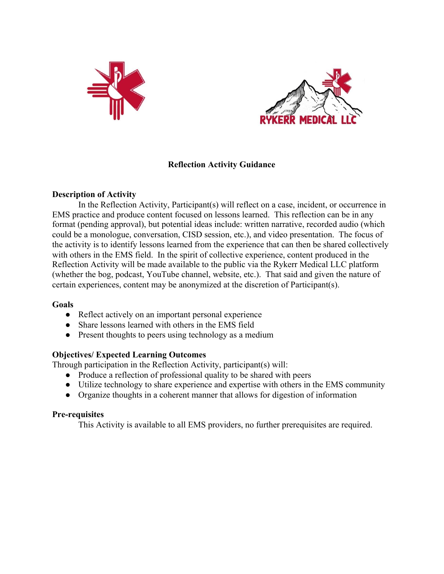



# **Reflection Activity Guidance**

## **Description of Activity**

In the Reflection Activity, Participant(s) will reflect on a case, incident, or occurrence in EMS practice and produce content focused on lessons learned. This reflection can be in any format (pending approval), but potential ideas include: written narrative, recorded audio (which could be a monologue, conversation, CISD session, etc.), and video presentation. The focus of the activity is to identify lessons learned from the experience that can then be shared collectively with others in the EMS field. In the spirit of collective experience, content produced in the Reflection Activity will be made available to the public via the Rykerr Medical LLC platform (whether the bog, podcast, YouTube channel, website, etc.). That said and given the nature of certain experiences, content may be anonymized at the discretion of Participant(s).

## **Goals**

- Reflect actively on an important personal experience
- Share lessons learned with others in the EMS field
- Present thoughts to peers using technology as a medium

## **Objectives/ Expected Learning Outcomes**

Through participation in the Reflection Activity, participant(s) will:

- **●** Produce a reflection of professional quality to be shared with peers
- **●** Utilize technology to share experience and expertise with others in the EMS community
- **●** Organize thoughts in a coherent manner that allows for digestion of information

## **Pre-requisites**

This Activity is available to all EMS providers, no further prerequisites are required.